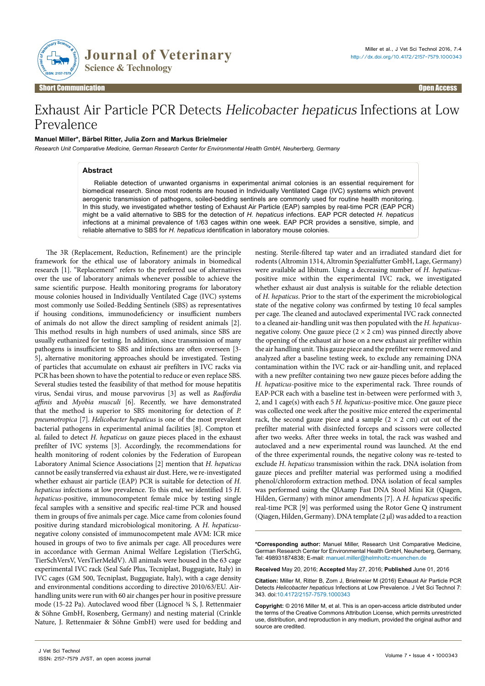

Short Communication Open Access

# Exhaust Air Particle PCR Detects Helicobacter hepaticus Infections at Low Prevalence

# **Manuel Miller\*, Bärbel Ritter, Julia Zorn and Markus Brielmeier**

*Research Unit Comparative Medicine, German Research Center for Environmental Health GmbH, Neuherberg, Germany*

# **Abstract**

Reliable detection of unwanted organisms in experimental animal colonies is an essential requirement for biomedical research. Since most rodents are housed in Individually Ventilated Cage (IVC) systems which prevent aerogenic transmission of pathogens, soiled-bedding sentinels are commonly used for routine health monitoring. In this study, we investigated whether testing of Exhaust Air Particle (EAP) samples by real-time PCR (EAP PCR) might be a valid alternative to SBS for the detection of *H. hepaticus* infections. EAP PCR detected *H. hepaticus* infections at a minimal prevalence of 1/63 cages within one week. EAP PCR provides a sensitive, simple, and reliable alternative to SBS for *H. hepaticus* identification in laboratory mouse colonies.

The 3R (Replacement, Reduction, Refinement) are the principle framework for the ethical use of laboratory animals in biomedical research [1]. "Replacement" refers to the preferred use of alternatives over the use of laboratory animals whenever possible to achieve the same scientific purpose. Health monitoring programs for laboratory mouse colonies housed in Individually Ventilated Cage (IVC) systems most commonly use Soiled-Bedding Sentinels (SBS) as representatives if housing conditions, immunodeficiency or insufficient numbers of animals do not allow the direct sampling of resident animals [2]. This method results in high numbers of used animals, since SBS are usually euthanized for testing. In addition, since transmission of many pathogens is insufficient to SBS and infections are often overseen [3- 5], alternative monitoring approaches should be investigated. Testing of particles that accumulate on exhaust air prefilters in IVC racks via PCR has been shown to have the potential to reduce or even replace SBS. Several studies tested the feasibility of that method for mouse hepatitis virus, Sendai virus, and mouse parvovirus [3] as well as *Radfordia affinis* and *Myobia musculi* [6]. Recently, we have demonstrated that the method is superior to SBS monitoring for detection of *P. pneumotropica* [7]. *Helicobacter hepaticus* is one of the most prevalent bacterial pathogens in experimental animal facilities [8]. Compton et al. failed to detect *H. hepaticus* on gauze pieces placed in the exhaust prefilter of IVC systems [3]. Accordingly, the recommendations for health monitoring of rodent colonies by the Federation of European Laboratory Animal Science Associations [2] mention that *H. hepaticus* cannot be easily transferred via exhaust air dust. Here, we re-investigated whether exhaust air particle (EAP) PCR is suitable for detection of *H. hepaticus* infections at low prevalence. To this end, we identified 15 *H. hepaticus*-positive, immunocompetent female mice by testing single fecal samples with a sensitive and specific real-time PCR and housed them in groups of five animals per cage. Mice came from colonies found positive during standard microbiological monitoring. A *H. hepaticus*negative colony consisted of immunocompetent male AVM: ICR mice housed in groups of two to five animals per cage. All procedures were in accordance with German Animal Welfare Legislation (TierSchG, TierSchVersV, VersTierMeldV). All animals were housed in the 63 cage experimental IVC rack (Seal Safe Plus, Tecniplast, Buggugiate, Italy) in IVC cages (GM 500, Tecniplast, Buggugiate, Italy), with a cage density and environmental conditions according to directive 2010/63/EU. Airhandling units were run with 60 air changes per hour in positive pressure mode (15-22 Pa). Autoclaved wood fiber (Lignocel ¾ S, J. Rettenmaier & Söhne GmbH, Rosenberg, Germany) and nesting material (Crinkle Nature, J. Rettenmaier & Söhne GmbH) were used for bedding and

nesting. Sterile-filtered tap water and an irradiated standard diet for rodents (Altromin 1314, Altromin Spezialfutter GmbH, Lage, Germany) were available ad libitum. Using a decreasing number of *H. hepaticus*positive mice within the experimental IVC rack, we investigated whether exhaust air dust analysis is suitable for the reliable detection of *H. hepaticus*. Prior to the start of the experiment the microbiological state of the negative colony was confirmed by testing 10 fecal samples per cage. The cleaned and autoclaved experimental IVC rack connected to a cleaned air-handling unit was then populated with the *H. hepaticus*negative colony. One gauze piece  $(2 \times 2$  cm) was pinned directly above the opening of the exhaust air hose on a new exhaust air prefilter within the air handling unit. This gauze piece and the prefilter were removed and analyzed after a baseline testing week, to exclude any remaining DNA contamination within the IVC rack or air-handling unit, and replaced with a new prefilter containing two new gauze pieces before adding the *H. hepaticus*-positive mice to the experimental rack. Three rounds of EAP-PCR each with a baseline test in-between were performed with 3, 2, and 1 cage(s) with each 5 *H. hepaticus*-positive mice. One gauze piece was collected one week after the positive mice entered the experimental rack, the second gauze piece and a sample  $(2 \times 2$  cm) cut out of the prefilter material with disinfected forceps and scissors were collected after two weeks. After three weeks in total, the rack was washed and autoclaved and a new experimental round was launched. At the end of the three experimental rounds, the negative colony was re-tested to exclude *H. hepaticus* transmission within the rack. DNA isolation from gauze pieces and prefilter material was performed using a modified phenol/chloroform extraction method. DNA isolation of fecal samples was performed using the QIAamp Fast DNA Stool Mini Kit (Qiagen, Hilden, Germany) with minor amendments [7]. A *H. hepaticus* specific real-time PCR [9] was performed using the Rotor Gene Q instrument (Qiagen, Hilden, Germany). DNA template (2 µl) was added to a reaction

**\*Corresponding author:** Manuel Miller, Research Unit Comparative Medicine, German Research Center for Environmental Health GmbH, Neuherberg, Germany, Tel: 498931874838; E-mail: manuel.miller@helmholtz-muenchen.de

**Received** May 20, 2016; **Accepted** May 27, 2016; **Published** June 01, 2016

**Citation:** Miller M, Ritter B, Zorn J, Brielmeier M (2016) Exhaust Air Particle PCR Detects *Helicobacter hepaticus* Infections at Low Prevalence. J Vet Sci Technol 7: 343. doi[:10.4172/2157-7579.1000](http://dx.doi.org/10.4172/2157-7579.1000343)343

**Copyright:** © 2016 Miller M, et al. This is an open-access article distributed under the terms of the Creative Commons Attribution License, which permits unrestricted use, distribution, and reproduction in any medium, provided the original author and source are credited.